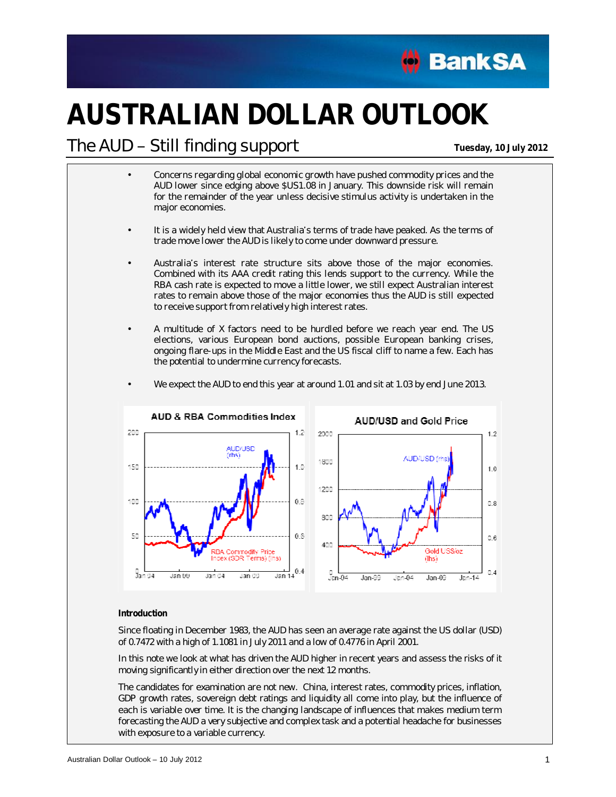

# **AUSTRALIAN DOLLAR OUTLOOK**

### The AUD Still finding support **Tuesday, <sup>10</sup> July <sup>2012</sup>**

- Concerns regarding global economic growth have pushed commodity prices and the AUD lower since edging above \$US1.08 in January. This downside risk will remain for the remainder of the year unless decisive stimulus activity is undertaken in the major economies.
- It is a widely held view that Australia's terms of trade have peaked. As the terms of trade move lower the AUD is likely to come under downward pressure.
- Australia's interest rate structure sits above those of the major economies. Combined with its AAA credit rating this lends support to the currency. While the RBA cash rate is expected to move a little lower, we still expect Australian interest rates to remain above those of the major economies thus the AUD is still expected to receive support from relatively high interest rates.
- A multitude of X factors need to be hurdled before we reach year end. The US elections, various European bond auctions, possible European banking crises, ongoing flare-ups in the Middle East and the US fiscal cliff to name a few. Each has the potential to undermine currency forecasts.



We expect the AUD to end this year at around 1.01 and sit at 1.03 by end June 2013.

#### **Introduction**

Since floating in December 1983, the AUD has seen an average rate against the US dollar (USD) of 0.7472 with a high of 1.1081 in July 2011 and a low of 0.4776 in April 2001.

In this note we look at what has driven the AUD higher in recent years and assess the risks of it moving significantly in either direction over the next 12 months.

The candidates for examination are not new. China, interest rates, commodity prices, inflation, GDP growth rates, sovereign debt ratings and liquidity all come into play, but the influence of each is variable over time. It is the changing landscape of influences that makes medium term forecasting the AUD a very subjective and complex task and a potential headache for businesses with exposure to a variable currency.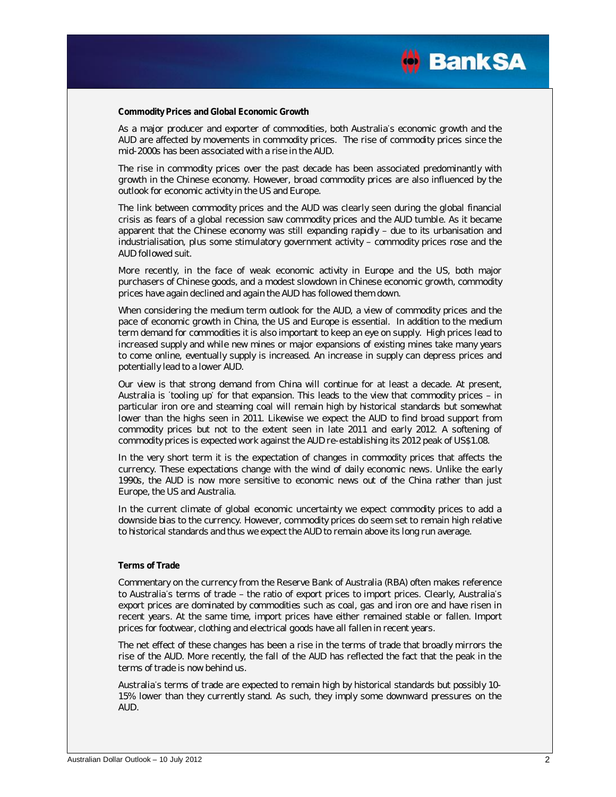

**Commodity Prices and Global Economic Growth** 

As a major producer and exporter of commodities, both Australia's economic growth and the AUD are affected by movements in commodity prices. The rise of commodity prices since the mid-2000s has been associated with a rise in the AUD.

The rise in commodity prices over the past decade has been associated predominantly with growth in the Chinese economy. However, broad commodity prices are also influenced by the outlook for economic activity in the US and Europe.

The link between commodity prices and the AUD was clearly seen during the global financial crisis as fears of a global recession saw commodity prices and the AUD tumble. As it became apparent that the Chinese economy was still expanding rapidly  $-$  due to its urbanisation and industrialisation, plus some stimulatory government activity - commodity prices rose and the AUD followed suit.

More recently, in the face of weak economic activity in Europe and the US, both major purchasers of Chinese goods, and a modest slowdown in Chinese economic growth, commodity prices have again declined and again the AUD has followed them down.

When considering the medium term outlook for the AUD, a view of commodity prices and the pace of economic growth in China, the US and Europe is essential. In addition to the medium term demand for commodities it is also important to keep an eye on supply. High prices lead to increased supply and while new mines or major expansions of existing mines take many years to come online, eventually supply is increased. An increase in supply can depress prices and potentially lead to a lower AUD.

Our view is that strong demand from China will continue for at least a decade. At present, Australia is 'tooling up' for that expansion. This leads to the view that commodity prices  $-$  in particular iron ore and steaming coal will remain high by historical standards but somewhat lower than the highs seen in 2011. Likewise we expect the AUD to find broad support from commodity prices but not to the extent seen in late 2011 and early 2012. A softening of commodity prices is expected work against the AUD re-establishing its 2012 peak of US\$1.08.

In the very short term it is the expectation of changes in commodity prices that affects the currency. These expectations change with the wind of daily economic news. Unlike the early 1990s, the AUD is now more sensitive to economic news out of the China rather than just Europe, the US and Australia.

In the current climate of global economic uncertainty we expect commodity prices to add a downside bias to the currency. However, commodity prices do seem set to remain high relative to historical standards and thus we expect the AUD to remain above its long run average.

#### **Terms of Trade**

Commentary on the currency from the Reserve Bank of Australia (RBA) often makes reference to Australia's terms of trade - the ratio of export prices to import prices. Clearly, Australia's export prices are dominated by commodities such as coal, gas and iron ore and have risen in recent years. At the same time, import prices have either remained stable or fallen. Import prices for footwear, clothing and electrical goods have all fallen in recent years.

The net effect of these changes has been a rise in the terms of trade that broadly mirrors the rise of the AUD. More recently, the fall of the AUD has reflected the fact that the peak in the terms of trade is now behind us.

Australia's terms of trade are expected to remain high by historical standards but possibly 10-15% lower than they currently stand. As such, they imply some downward pressures on the AUD.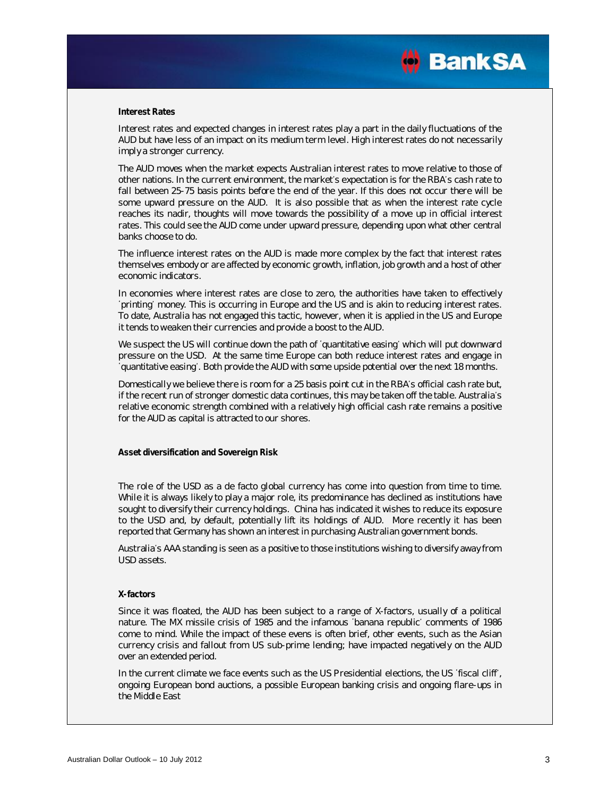

#### **Interest Rates**

Interest rates and expected changes in interest rates play a part in the daily fluctuations of the AUD but have less of an impact on its medium term level. High interest rates do not necessarily imply a stronger currency.

The AUD moves when the market expects Australian interest rates to move relative to those of other nations. In the current environment, the market's expectation is for the RBA's cash rate to fall between 25-75 basis points before the end of the year. If this does not occur there will be some upward pressure on the AUD. It is also possible that as when the interest rate cycle reaches its nadir, thoughts will move towards the possibility of a move up in official interest rates. This could see the AUD come under upward pressure, depending upon what other central banks choose to do.

The influence interest rates on the AUD is made more complex by the fact that interest rates themselves embody or are affected by economic growth, inflation, job growth and a host of other economic indicators.

In economies where interest rates are close to zero, the authorities have taken to effectively printing money. This is occurring in Europe and the US and is akin to reducing interest rates. To date, Australia has not engaged this tactic, however, when it is applied in the US and Europe it tends to weaken their currencies and provide a boost to the AUD.

We suspect the US will continue down the path of 'quantitative easing' which will put downward pressure on the USD. At the same time Europe can both reduce interest rates and engage in quantitative easing'. Both provide the AUD with some upside potential over the next 18 months.

Domestically we believe there is room for a 25 basis point cut in the RBA's official cash rate but, if the recent run of stronger domestic data continues, this may be taken off the table. Australia's relative economic strength combined with a relatively high official cash rate remains a positive for the AUD as capital is attracted to our shores.

**Asset diversification and Sovereign Risk** 

The role of the USD as a de facto global currency has come into question from time to time. While it is always likely to play a major role, its predominance has declined as institutions have sought to diversify their currency holdings. China has indicated it wishes to reduce its exposure to the USD and, by default, potentially lift its holdings of AUD. More recently it has been reported that Germany has shown an interest in purchasing Australian government bonds.

Australia's AAA standing is seen as a positive to those institutions wishing to diversify away from USD assets.

#### **X-factors**

Since it was floated, the AUD has been subject to a range of X-factors, usually of a political nature. The MX missile crisis of 1985 and the infamous 'banana republic' comments of 1986 come to mind. While the impact of these evens is often brief, other events, such as the Asian currency crisis and fallout from US sub-prime lending; have impacted negatively on the AUD over an extended period.

In the current climate we face events such as the US Presidential elections, the US 'fiscal cliff', ongoing European bond auctions, a possible European banking crisis and ongoing flare-ups in the Middle East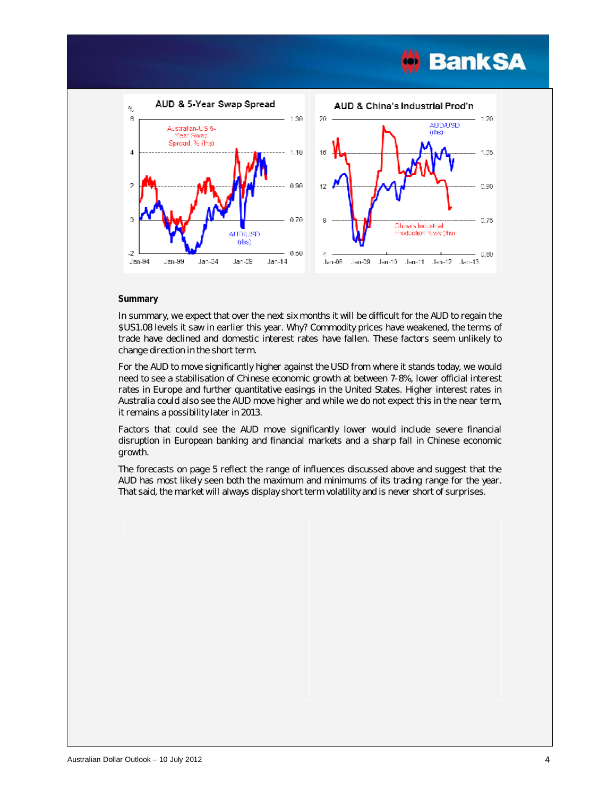



#### **Summary**

In summary, we expect that over the next six months it will be difficult for the AUD to regain the \$US1.08 levels it saw in earlier this year. Why? Commodity prices have weakened, the terms of trade have declined and domestic interest rates have fallen. These factors seem unlikely to change direction in the short term.

For the AUD to move significantly higher against the USD from where it stands today, we would need to see a stabilisation of Chinese economic growth at between 7-8%, lower official interest rates in Europe and further quantitative easings in the United States. Higher interest rates in Australia could also see the AUD move higher and while we do not expect this in the near term, it remains a possibility later in 2013.

Factors that could see the AUD move significantly lower would include severe financial disruption in European banking and financial markets and a sharp fall in Chinese economic growth.

The forecasts on page 5 reflect the range of influences discussed above and suggest that the AUD has most likely seen both the maximum and minimums of its trading range for the year. That said, the market will always display short term volatility and is never short of surprises.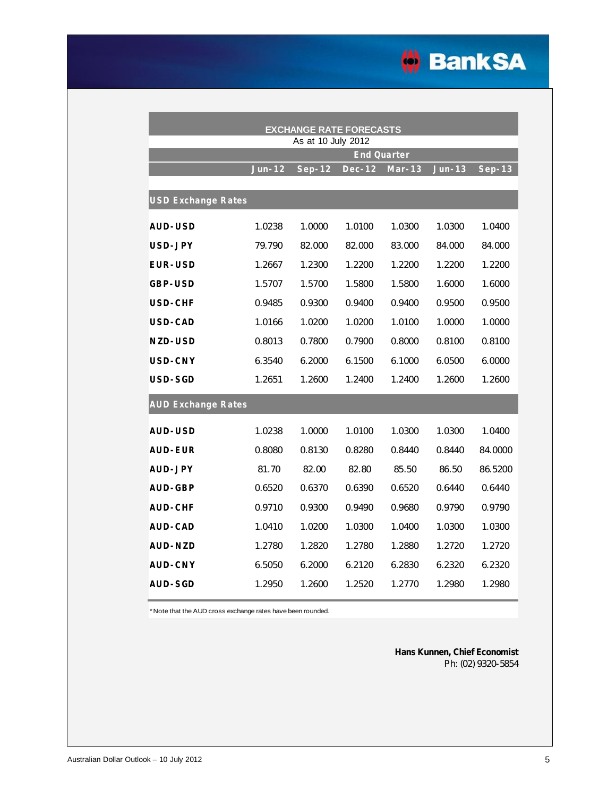

| <b>EXCHANGE RATE FORECASTS</b><br>As at 10 July 2012 |        |          |        |          |          |          |  |
|------------------------------------------------------|--------|----------|--------|----------|----------|----------|--|
|                                                      |        |          |        |          |          |          |  |
|                                                      | Jun-12 | $Sep-12$ | Dec-12 | $Mar-13$ | $Jun-13$ | $Sep-13$ |  |
| <b>USD Exchange Rates</b>                            |        |          |        |          |          |          |  |
| AUD-USD                                              | 1.0238 | 1.0000   | 1.0100 | 1.0300   | 1.0300   | 1.0400   |  |
| USD-JPY                                              | 79.790 | 82.000   | 82.000 | 83.000   | 84.000   | 84.000   |  |
| EUR-USD                                              | 1.2667 | 1.2300   | 1.2200 | 1.2200   | 1.2200   | 1.2200   |  |
| GBP-USD                                              | 1.5707 | 1.5700   | 1.5800 | 1.5800   | 1.6000   | 1.6000   |  |
| <b>USD-CHF</b>                                       | 0.9485 | 0.9300   | 0.9400 | 0.9400   | 0.9500   | 0.9500   |  |
| USD-CAD                                              | 1.0166 | 1.0200   | 1.0200 | 1.0100   | 1.0000   | 1.0000   |  |
| NZD-USD                                              | 0.8013 | 0.7800   | 0.7900 | 0.8000   | 0.8100   | 0.8100   |  |
| USD-CNY                                              | 6.3540 | 6.2000   | 6.1500 | 6.1000   | 6.0500   | 6.0000   |  |
| USD-SGD                                              | 1.2651 | 1.2600   | 1.2400 | 1.2400   | 1.2600   | 1.2600   |  |
| <b>AUD Exchange Rates</b>                            |        |          |        |          |          |          |  |
| AUD-USD                                              | 1.0238 | 1.0000   | 1.0100 | 1.0300   | 1.0300   | 1.0400   |  |
| <b>AUD-EUR</b>                                       | 0.8080 | 0.8130   | 0.8280 | 0.8440   | 0.8440   | 84.0000  |  |
| AUD-JPY                                              | 81.70  | 82.00    | 82.80  | 85.50    | 86.50    | 86.5200  |  |
| AUD-GBP                                              | 0.6520 | 0.6370   | 0.6390 | 0.6520   | 0.6440   | 0.6440   |  |
| AUD-CHF                                              | 0.9710 | 0.9300   | 0.9490 | 0.9680   | 0.9790   | 0.9790   |  |
| AUD-CAD                                              | 1.0410 | 1.0200   | 1.0300 | 1.0400   | 1.0300   | 1.0300   |  |
| AUD-NZD                                              | 1.2780 | 1.2820   | 1.2780 | 1.2880   | 1.2720   | 1.2720   |  |
| AUD-CNY                                              | 6.5050 | 6.2000   | 6.2120 | 6.2830   | 6.2320   | 6.2320   |  |
| AUD-SGD                                              | 1.2950 | 1.2600   | 1.2520 | 1.2770   | 1.2980   | 1.2980   |  |

\*Note that the AUD cross exchange rates have been rounded.

**Hans Kunnen, Chief Economist** Ph: (02) 9320-5854